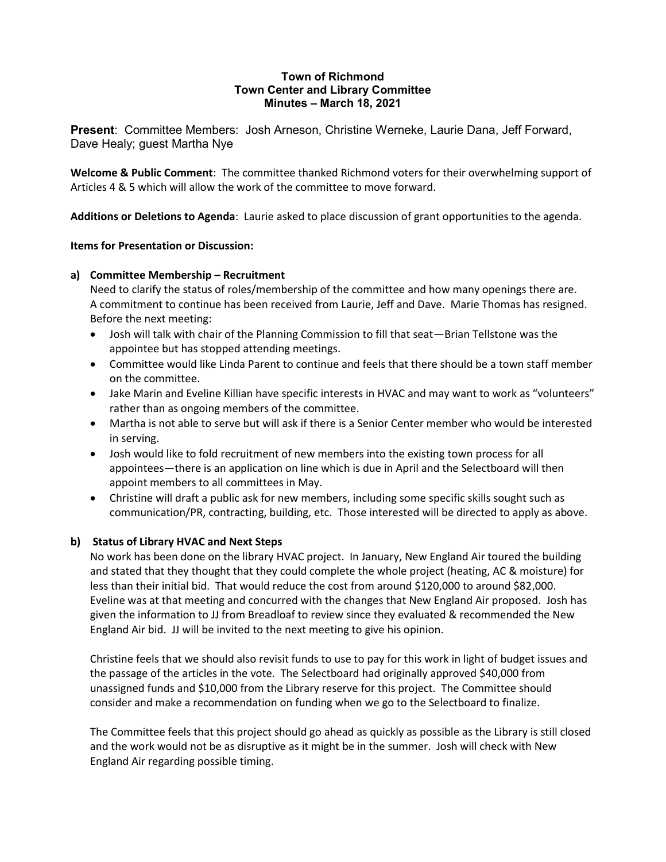#### **Town of Richmond Town Center and Library Committee Minutes – March 18, 2021**

**Present**: Committee Members: Josh Arneson, Christine Werneke, Laurie Dana, Jeff Forward, Dave Healy; guest Martha Nye

**Welcome & Public Comment**: The committee thanked Richmond voters for their overwhelming support of Articles 4 & 5 which will allow the work of the committee to move forward.

**Additions or Deletions to Agenda**: Laurie asked to place discussion of grant opportunities to the agenda.

### **Items for Presentation or Discussion:**

# **a) Committee Membership – Recruitment**

Need to clarify the status of roles/membership of the committee and how many openings there are. A commitment to continue has been received from Laurie, Jeff and Dave. Marie Thomas has resigned. Before the next meeting:

- Josh will talk with chair of the Planning Commission to fill that seat—Brian Tellstone was the appointee but has stopped attending meetings.
- Committee would like Linda Parent to continue and feels that there should be a town staff member on the committee.
- Jake Marin and Eveline Killian have specific interests in HVAC and may want to work as "volunteers" rather than as ongoing members of the committee.
- Martha is not able to serve but will ask if there is a Senior Center member who would be interested in serving.
- Josh would like to fold recruitment of new members into the existing town process for all appointees—there is an application on line which is due in April and the Selectboard will then appoint members to all committees in May.
- Christine will draft a public ask for new members, including some specific skills sought such as communication/PR, contracting, building, etc. Those interested will be directed to apply as above.

# **b) Status of Library HVAC and Next Steps**

No work has been done on the library HVAC project. In January, New England Air toured the building and stated that they thought that they could complete the whole project (heating, AC & moisture) for less than their initial bid. That would reduce the cost from around \$120,000 to around \$82,000. Eveline was at that meeting and concurred with the changes that New England Air proposed. Josh has given the information to JJ from Breadloaf to review since they evaluated & recommended the New England Air bid. JJ will be invited to the next meeting to give his opinion.

Christine feels that we should also revisit funds to use to pay for this work in light of budget issues and the passage of the articles in the vote. The Selectboard had originally approved \$40,000 from unassigned funds and \$10,000 from the Library reserve for this project. The Committee should consider and make a recommendation on funding when we go to the Selectboard to finalize.

The Committee feels that this project should go ahead as quickly as possible as the Library is still closed and the work would not be as disruptive as it might be in the summer. Josh will check with New England Air regarding possible timing.